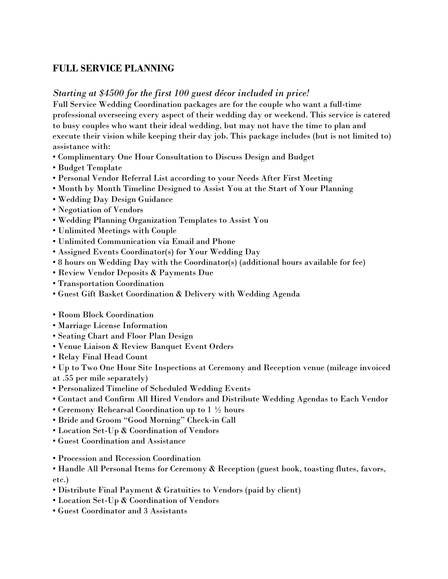# **FULL SERVICE PLANNING**

## *Starting at \$4500 for the first 100 guest décor included in price!*

Full Service Wedding Coordination packages are for the couple who want a full-time professional overseeing every aspect of their wedding day or weekend. This service is catered to busy couples who want their ideal wedding, but may not have the time to plan and execute their vision while keeping their day job. This package includes (but is not limited to) assistance with:

- Complimentary One Hour Consultation to Discuss Design and Budget
- Budget Template
- Personal Vendor Referral List according to your Needs After First Meeting
- Month by Month Timeline Designed to Assist You at the Start of Your Planning
- Wedding Day Design Guidance
- Negotiation of Vendors
- Wedding Planning Organization Templates to Assist You
- Unlimited Meetings with Couple
- Unlimited Communication via Email and Phone
- Assigned Events Coordinator(s) for Your Wedding Day
- 8 hours on Wedding Day with the Coordinator(s) (additional hours available for fee)
- Review Vendor Deposits & Payments Due
- Transportation Coordination
- Guest Gift Basket Coordination & Delivery with Wedding Agenda
- Room Block Coordination
- Marriage License Information
- Seating Chart and Floor Plan Design
- Venue Liaison & Review Banquet Event Orders
- Relay Final Head Count

• Up to Two One Hour Site Inspections at Ceremony and Reception venue (mileage invoiced at .55 per mile separately)

- Personalized Timeline of Scheduled Wedding Events
- Contact and Confirm All Hired Vendors and Distribute Wedding Agendas to Each Vendor
- Ceremony Rehearsal Coordination up to 1 ½ hours
- Bride and Groom "Good Morning" Check-in Call
- Location Set-Up & Coordination of Vendors
- Guest Coordination and Assistance
- Procession and Recession Coordination
- Handle All Personal Items for Ceremony & Reception (guest book, toasting flutes, favors, etc.)
- Distribute Final Payment & Gratuities to Vendors (paid by client)
- Location Set-Up & Coordination of Vendors
- Guest Coordinator and 3 Assistants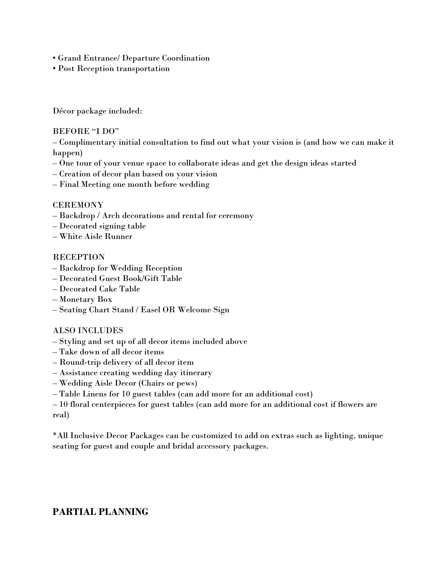- Grand Entrance/ Departure Coordination
- Post Reception transportation

Décor package included:

#### BEFORE "I DO"

– Complimentary initial consultation to find out what your vision is (and how we can make it happen)

- One tour of your venue space to collaborate ideas and get the design ideas started
- Creation of decor plan based on your vision
- Final Meeting one month before wedding

## **CEREMONY**

- Backdrop / Arch decorations and rental for ceremony
- Decorated signing table
- White Aisle Runner

#### **RECEPTION**

- Backdrop for Wedding Reception
- Decorated Guest Book/Gift Table
- Decorated Cake Table
- Monetary Box
- Seating Chart Stand / Easel OR Welcome Sign

#### ALSO INCLUDES

- Styling and set up of all decor items included above
- Take down of all decor items
- Round-trip delivery of all decor item
- Assistance creating wedding day itinerary
- Wedding Aisle Decor (Chairs or pews)
- Table Linens for 10 guest tables (can add more for an additional cost)

– 10 floral centerpieces for guest tables (can add more for an additional cost if flowers are real)

\*All Inclusive Decor Packages can be customized to add on extras such as lighting, unique seating for guest and couple and bridal accessory packages.

## **PARTIAL PLANNING**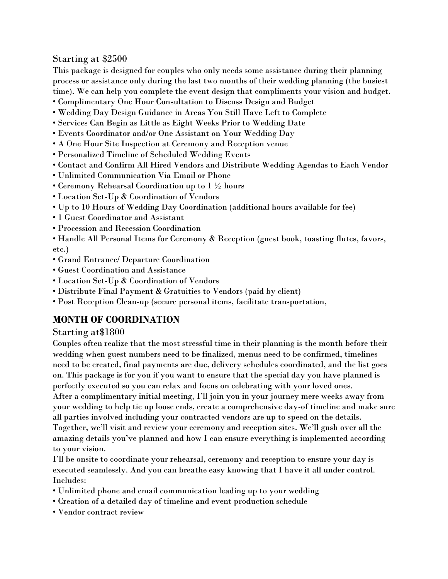## Starting at \$2500

This package is designed for couples who only needs some assistance during their planning process or assistance only during the last two months of their wedding planning (the busiest time). We can help you complete the event design that compliments your vision and budget.

- Complimentary One Hour Consultation to Discuss Design and Budget
- Wedding Day Design Guidance in Areas You Still Have Left to Complete
- Services Can Begin as Little as Eight Weeks Prior to Wedding Date
- Events Coordinator and/or One Assistant on Your Wedding Day
- A One Hour Site Inspection at Ceremony and Reception venue
- Personalized Timeline of Scheduled Wedding Events
- Contact and Confirm All Hired Vendors and Distribute Wedding Agendas to Each Vendor
- Unlimited Communication Via Email or Phone
- Ceremony Rehearsal Coordination up to 1 ½ hours
- Location Set-Up & Coordination of Vendors
- Up to 10 Hours of Wedding Day Coordination (additional hours available for fee)
- 1 Guest Coordinator and Assistant
- Procession and Recession Coordination

• Handle All Personal Items for Ceremony & Reception (guest book, toasting flutes, favors, etc.)

- Grand Entrance/ Departure Coordination
- Guest Coordination and Assistance
- Location Set-Up & Coordination of Vendors
- Distribute Final Payment & Gratuities to Vendors (paid by client)
- Post Reception Clean-up (secure personal items, facilitate transportation,

# **MONTH OF COORDINATION**

## Starting at\$1800

Couples often realize that the most stressful time in their planning is the month before their wedding when guest numbers need to be finalized, menus need to be confirmed, timelines need to be created, final payments are due, delivery schedules coordinated, and the list goes on. This package is for you if you want to ensure that the special day you have planned is perfectly executed so you can relax and focus on celebrating with your loved ones. After a complimentary initial meeting, I'll join you in your journey mere weeks away from your wedding to help tie up loose ends, create a comprehensive day-of timeline and make sure all parties involved including your contracted vendors are up to speed on the details. Together, we'll visit and review your ceremony and reception sites. We'll gush over all the amazing details you've planned and how I can ensure everything is implemented according

to your vision.

I'll be onsite to coordinate your rehearsal, ceremony and reception to ensure your day is executed seamlessly. And you can breathe easy knowing that I have it all under control. Includes:

- Unlimited phone and email communication leading up to your wedding
- Creation of a detailed day of timeline and event production schedule
- Vendor contract review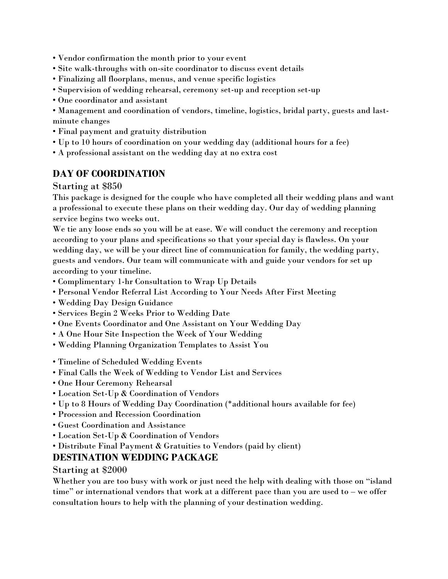- Vendor confirmation the month prior to your event
- Site walk-throughs with on-site coordinator to discuss event details
- Finalizing all floorplans, menus, and venue specific logistics
- Supervision of wedding rehearsal, ceremony set-up and reception set-up
- One coordinator and assistant

• Management and coordination of vendors, timeline, logistics, bridal party, guests and lastminute changes

- Final payment and gratuity distribution
- Up to 10 hours of coordination on your wedding day (additional hours for a fee)
- A professional assistant on the wedding day at no extra cost

# **DAY OF COORDINATION**

Starting at \$850

This package is designed for the couple who have completed all their wedding plans and want a professional to execute these plans on their wedding day. Our day of wedding planning service begins two weeks out.

We tie any loose ends so you will be at ease. We will conduct the ceremony and reception according to your plans and specifications so that your special day is flawless. On your wedding day, we will be your direct line of communication for family, the wedding party, guests and vendors. Our team will communicate with and guide your vendors for set up according to your timeline.

- Complimentary 1-hr Consultation to Wrap Up Details
- Personal Vendor Referral List According to Your Needs After First Meeting
- Wedding Day Design Guidance
- Services Begin 2 Weeks Prior to Wedding Date
- One Events Coordinator and One Assistant on Your Wedding Day
- A One Hour Site Inspection the Week of Your Wedding
- Wedding Planning Organization Templates to Assist You
- Timeline of Scheduled Wedding Events
- Final Calls the Week of Wedding to Vendor List and Services
- One Hour Ceremony Rehearsal
- Location Set-Up & Coordination of Vendors
- Up to 8 Hours of Wedding Day Coordination (\*additional hours available for fee)
- Procession and Recession Coordination
- Guest Coordination and Assistance
- Location Set-Up & Coordination of Vendors
- Distribute Final Payment & Gratuities to Vendors (paid by client)

## **DESTINATION WEDDING PACKAGE**

Starting at \$2000

Whether you are too busy with work or just need the help with dealing with those on "island time" or international vendors that work at a different pace than you are used to – we offer consultation hours to help with the planning of your destination wedding.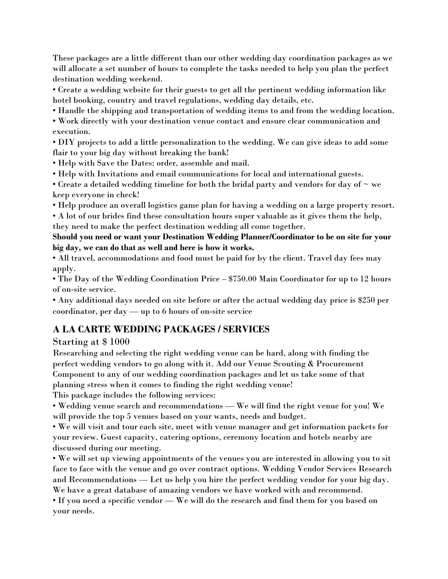These packages are a little different than our other wedding day coordination packages as we will allocate a set number of hours to complete the tasks needed to help you plan the perfect destination wedding weekend.

• Create a wedding website for their guests to get all the pertinent wedding information like hotel booking, country and travel regulations, wedding day details, etc.

• Handle the shipping and transportation of wedding items to and from the wedding location.

• Work directly with your destination venue contact and ensure clear communication and execution.

• DIY projects to add a little personalization to the wedding. We can give ideas to add some flair to your big day without breaking the bank!

• Help with Save the Dates: order, assemble and mail.

• Help with Invitations and email communications for local and international guests.

• Create a detailed wedding timeline for both the bridal party and vendors for day of  $\sim$  we keep everyone in check!

• Help produce an overall logistics game plan for having a wedding on a large property resort.

• A lot of our brides find these consultation hours super valuable as it gives them the help, they need to make the perfect destination wedding all come together.

**Should you need or want your Destination Wedding Planner/Coordinator to be on site for your big day, we can do that as well and here is how it works.** 

• All travel, accommodations and food must be paid for by the client. Travel day fees may apply.

• The Day of the Wedding Coordination Price – \$750.00 Main Coordinator for up to 12 hours of on-site service.

• Any additional days needed on site before or after the actual wedding day price is \$250 per coordinator, per day — up to 6 hours of on-site service

# **A LA CARTE WEDDING PACKAGES / SERVICES**

## Starting at \$ 1000

Researching and selecting the right wedding venue can be hard, along with finding the perfect wedding vendors to go along with it. Add our Venue Scouting & Procurement Component to any of our wedding coordination packages and let us take some of that planning stress when it comes to finding the right wedding venue!

This package includes the following services:

• Wedding venue search and recommendations — We will find the right venue for you! We will provide the top 5 venues based on your wants, needs and budget.

• We will visit and tour each site, meet with venue manager and get information packets for your review. Guest capacity, catering options, ceremony location and hotels nearby are discussed during our meeting.

• We will set up viewing appointments of the venues you are interested in allowing you to sit face to face with the venue and go over contract options. Wedding Vendor Services Research and Recommendations — Let us help you hire the perfect wedding vendor for your big day. We have a great database of amazing vendors we have worked with and recommend.

• If you need a specific vendor — We will do the research and find them for you based on your needs.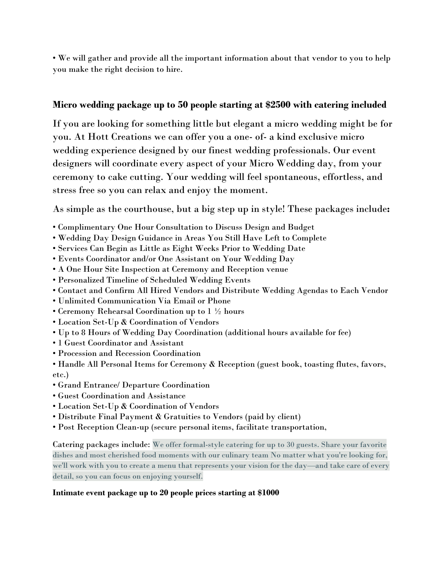• We will gather and provide all the important information about that vendor to you to help you make the right decision to hire.

## **Micro wedding package up to 50 people starting at \$2500 with catering included**

If you are looking for something little but elegant a micro wedding might be for you. At Hott Creations we can offer you a one- of- a kind exclusive micro wedding experience designed by our finest wedding professionals. Our event designers will coordinate every aspect of your Micro Wedding day, from your ceremony to cake cutting. Your wedding will feel spontaneous, effortless, and stress free so you can relax and enjoy the moment.

As simple as the courthouse, but a big step up in style! These packages include**:**

- Complimentary One Hour Consultation to Discuss Design and Budget
- Wedding Day Design Guidance in Areas You Still Have Left to Complete
- Services Can Begin as Little as Eight Weeks Prior to Wedding Date
- Events Coordinator and/or One Assistant on Your Wedding Day
- A One Hour Site Inspection at Ceremony and Reception venue
- Personalized Timeline of Scheduled Wedding Events
- Contact and Confirm All Hired Vendors and Distribute Wedding Agendas to Each Vendor
- Unlimited Communication Via Email or Phone
- Ceremony Rehearsal Coordination up to 1 ½ hours
- Location Set-Up & Coordination of Vendors
- Up to 8 Hours of Wedding Day Coordination (additional hours available for fee)
- 1 Guest Coordinator and Assistant
- Procession and Recession Coordination
- Handle All Personal Items for Ceremony & Reception (guest book, toasting flutes, favors, etc.)
- Grand Entrance/ Departure Coordination
- Guest Coordination and Assistance
- Location Set-Up & Coordination of Vendors
- Distribute Final Payment & Gratuities to Vendors (paid by client)
- Post Reception Clean-up (secure personal items, facilitate transportation,

Catering packages include: We offer formal-style catering for up to 30 guests. Share your favorite dishes and most cherished food moments with our culinary team No matter what you're looking for, we'll work with you to create a menu that represents your vision for the day—and take care of every detail, so you can focus on enjoying yourself.

## **Intimate event package up to 20 people prices starting at \$1000**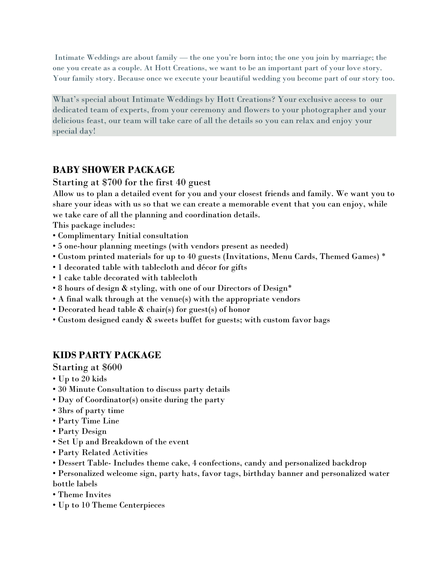Intimate Weddings are about family — the one you're born into; the one you join by marriage; the one you create as a couple. At Hott Creations, we want to be an important part of your love story. Your family story. Because once we execute your beautiful wedding you become part of our story too.

What's special about Intimate Weddings by Hott Creations? Your exclusive access to our dedicated team of experts, from your ceremony and flowers to your photographer and your delicious feast, our team will take care of all the details so you can relax and enjoy your special day!

# **BABY SHOWER PACKAGE**

## Starting at \$700 for the first 40 guest

Allow us to plan a detailed event for you and your closest friends and family. We want you to share your ideas with us so that we can create a memorable event that you can enjoy, while we take care of all the planning and coordination details.

This package includes:

- Complimentary Initial consultation
- 5 one-hour planning meetings (with vendors present as needed)
- Custom printed materials for up to 40 guests (Invitations, Menu Cards, Themed Games) \*
- 1 decorated table with tablecloth and décor for gifts
- 1 cake table decorated with tablecloth
- 8 hours of design & styling, with one of our Directors of Design\*
- A final walk through at the venue(s) with the appropriate vendors
- Decorated head table & chair(s) for guest(s) of honor
- Custom designed candy & sweets buffet for guests; with custom favor bags

# **KIDS PARTY PACKAGE**

Starting at \$600

- Up to 20 kids
- 30 Minute Consultation to discuss party details
- Day of Coordinator(s) onsite during the party
- 3hrs of party time
- Party Time Line
- Party Design
- Set Up and Breakdown of the event
- Party Related Activities
- Dessert Table- Includes theme cake, 4 confections, candy and personalized backdrop
- Personalized welcome sign, party hats, favor tags, birthday banner and personalized water
- bottle labels
- Theme Invites
- Up to 10 Theme Centerpieces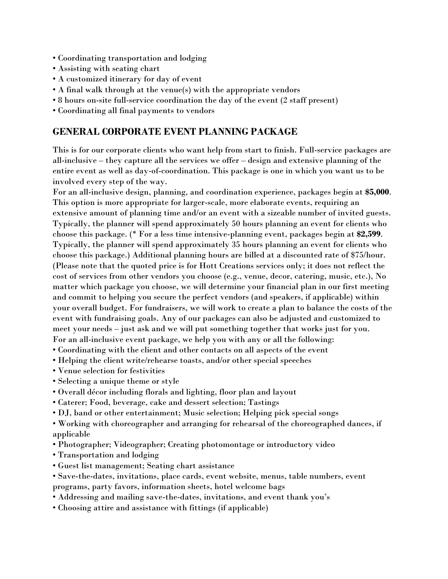- Coordinating transportation and lodging
- Assisting with seating chart
- A customized itinerary for day of event
- A final walk through at the venue(s) with the appropriate vendors
- 8 hours on-site full-service coordination the day of the event (2 staff present)
- Coordinating all final payments to vendors

## **GENERAL CORPORATE EVENT PLANNING PACKAGE**

This is for our corporate clients who want help from start to finish. Full-service packages are all-inclusive – they capture all the services we offer – design and extensive planning of the entire event as well as day-of-coordination. This package is one in which you want us to be involved every step of the way.

For an all-inclusive design, planning, and coordination experience, packages begin at **\$5,000**. This option is more appropriate for larger-scale, more elaborate events, requiring an extensive amount of planning time and/or an event with a sizeable number of invited guests. Typically, the planner will spend approximately 50 hours planning an event for clients who choose this package. (\* For a less time intensive-planning event, packages begin at **\$2,599**. Typically, the planner will spend approximately 35 hours planning an event for clients who choose this package.) Additional planning hours are billed at a discounted rate of \$75/hour. (Please note that the quoted price is for Hott Creations services only; it does not reflect the cost of services from other vendors you choose (e.g., venue, decor, catering, music, etc.), No matter which package you choose, we will determine your financial plan in our first meeting and commit to helping you secure the perfect vendors (and speakers, if applicable) within your overall budget. For fundraisers, we will work to create a plan to balance the costs of the event with fundraising goals. Any of our packages can also be adjusted and customized to meet your needs – just ask and we will put something together that works just for you. For an all-inclusive event package, we help you with any or all the following:

- Coordinating with the client and other contacts on all aspects of the event
- Helping the client write/rehearse toasts, and/or other special speeches
- Venue selection for festivities
- Selecting a unique theme or style
- Overall décor including florals and lighting, floor plan and layout
- Caterer; Food, beverage, cake and dessert selection; Tastings
- DJ, band or other entertainment; Music selection; Helping pick special songs
- Working with choreographer and arranging for rehearsal of the choreographed dances, if applicable
- Photographer; Videographer; Creating photomontage or introductory video
- Transportation and lodging
- Guest list management; Seating chart assistance
- Save-the-dates, invitations, place cards, event website, menus, table numbers, event programs, party favors, information sheets, hotel welcome bags
- Addressing and mailing save-the-dates, invitations, and event thank you's
- Choosing attire and assistance with fittings (if applicable)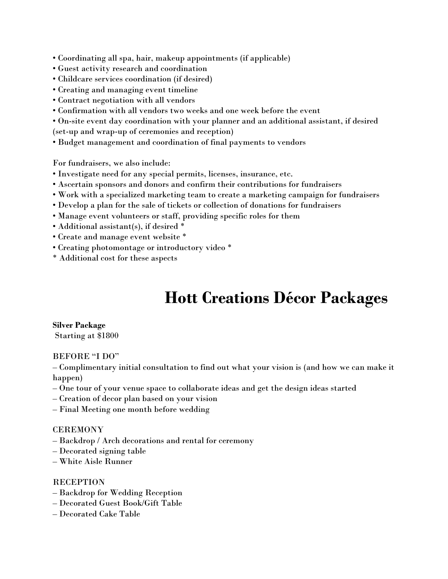• Coordinating all spa, hair, makeup appointments (if applicable)

- Guest activity research and coordination
- Childcare services coordination (if desired)
- Creating and managing event timeline
- Contract negotiation with all vendors
- Confirmation with all vendors two weeks and one week before the event
- On-site event day coordination with your planner and an additional assistant, if desired (set-up and wrap-up of ceremonies and reception)
- Budget management and coordination of final payments to vendors

For fundraisers, we also include:

- Investigate need for any special permits, licenses, insurance, etc.
- Ascertain sponsors and donors and confirm their contributions for fundraisers
- Work with a specialized marketing team to create a marketing campaign for fundraisers
- Develop a plan for the sale of tickets or collection of donations for fundraisers
- Manage event volunteers or staff, providing specific roles for them
- Additional assistant(s), if desired \*
- Create and manage event website \*
- Creating photomontage or introductory video \*
- \* Additional cost for these aspects

# **Hott Creations Décor Packages**

## **Silver Package**

Starting at \$1800

#### BEFORE "I DO"

– Complimentary initial consultation to find out what your vision is (and how we can make it happen)

- One tour of your venue space to collaborate ideas and get the design ideas started
- Creation of decor plan based on your vision
- Final Meeting one month before wedding

#### **CEREMONY**

- Backdrop / Arch decorations and rental for ceremony
- Decorated signing table
- White Aisle Runner

#### **RECEPTION**

- Backdrop for Wedding Reception
- Decorated Guest Book/Gift Table
- Decorated Cake Table